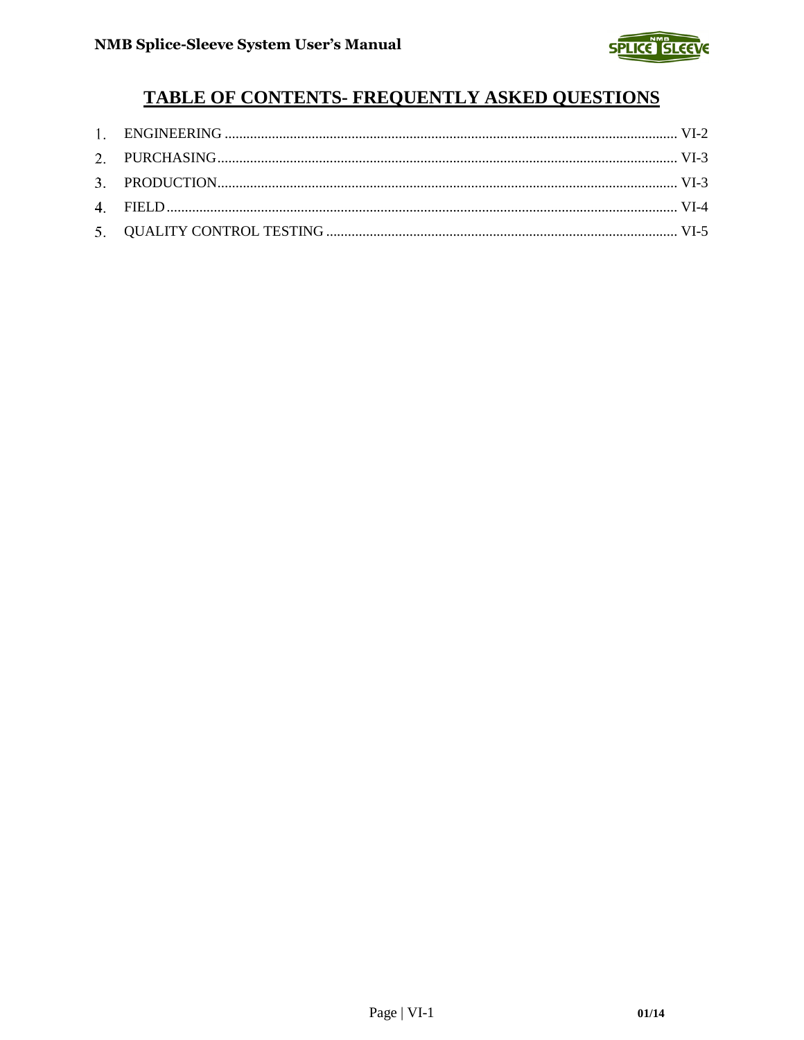

# **TABLE OF CONTENTS- FREQUENTLY ASKED QUESTIONS**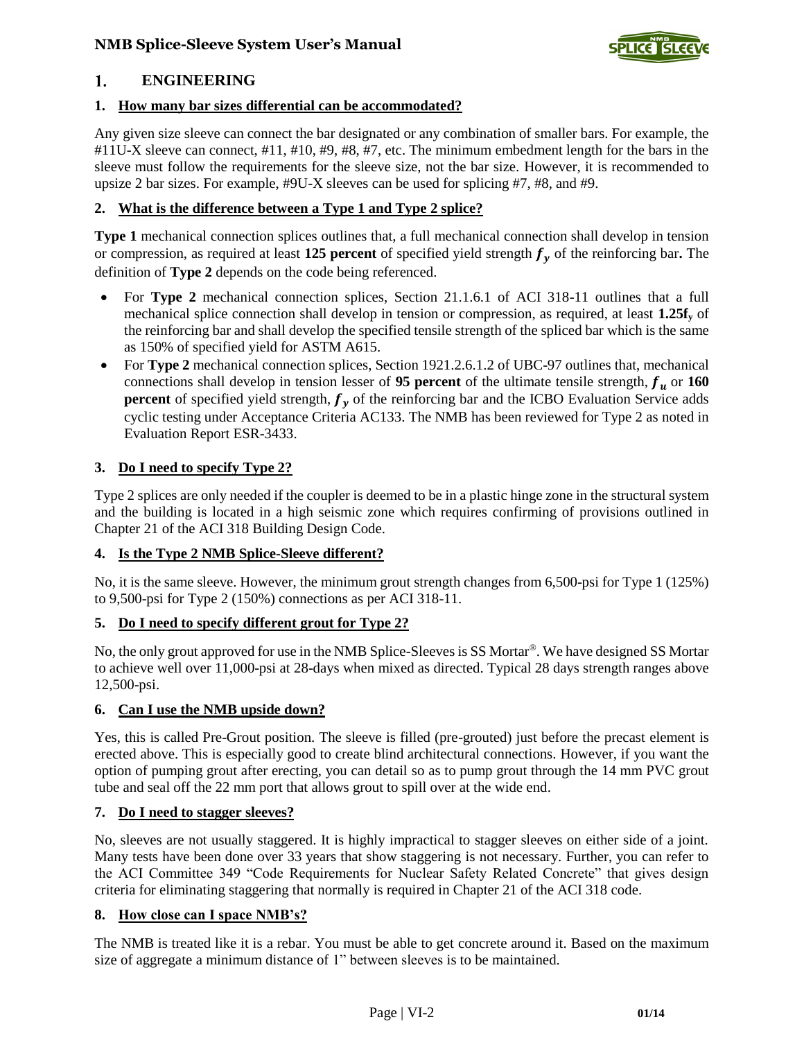

#### <span id="page-1-0"></span>1. **ENGINEERING**

### **1. [How many bar sizes differential can be accommodated?](http://splicesleeve.com/faq.html#1)**

Any given size sleeve can connect the bar designated or any combination of smaller bars. For example, the #11U-X sleeve can connect, #11, #10, #9, #8, #7, etc. The minimum embedment length for the bars in the sleeve must follow the requirements for the sleeve size, not the bar size. However, it is recommended to upsize 2 bar sizes. For example, #9U-X sleeves can be used for splicing #7, #8, and #9.

### **2. [What is the difference between a Type 1 and Type 2 splice?](http://splicesleeve.com/faq.html#2)**

**Type 1** mechanical connection splices outlines that, a full mechanical connection shall develop in tension or compression, as required at least 125 percent of specified yield strength  $f_v$  of the reinforcing bar. The definition of **Type 2** depends on the code being referenced.

- For **Type 2** mechanical connection splices, Section 21.1.6.1 of ACI 318-11 outlines that a full mechanical splice connection shall develop in tension or compression, as required, at least **1.25f<sup>y</sup>** of the reinforcing bar and shall develop the specified tensile strength of the spliced bar which is the same as 150% of specified yield for ASTM A615.
- For **Type 2** mechanical connection splices, Section 1921.2.6.1.2 of UBC-97 outlines that, mechanical connections shall develop in tension lesser of 95 percent of the ultimate tensile strength,  $f_u$  or 160 **percent** of specified yield strength,  $f_v$  of the reinforcing bar and the ICBO Evaluation Service adds cyclic testing under Acceptance Criteria AC133. The NMB has been reviewed for Type 2 as noted in Evaluation Report ESR-3433.

### **3. [Do I need to specify Type 2?](http://splicesleeve.com/faq.html#3)**

Type 2 splices are only needed if the coupler is deemed to be in a plastic hinge zone in the structural system and the building is located in a high seismic zone which requires confirming of provisions outlined in Chapter 21 of the ACI 318 Building Design Code.

#### **4. [Is the Type 2 NMB Splice-Sleeve different?](http://splicesleeve.com/faq.html#4)**

No, it is the same sleeve. However, the minimum grout strength changes from 6,500-psi for Type 1 (125%) to 9,500-psi for Type 2 (150%) connections as per ACI 318-11.

#### **5. [Do I need to specify different grout for Type 2?](http://splicesleeve.com/faq.html#5)**

No, the only grout approved for use in the NMB Splice-Sleeves is SS Mortar®. We have designed SS Mortar to achieve well over 11,000-psi at 28-days when mixed as directed. Typical 28 days strength ranges above 12,500-psi.

#### **6. [Can I use the NMB upside down?](http://splicesleeve.com/faq.html#6)**

Yes, this is called Pre-Grout position. The sleeve is filled (pre-grouted) just before the precast element is erected above. This is especially good to create blind architectural connections. However, if you want the option of pumping grout after erecting, you can detail so as to pump grout through the 14 mm PVC grout tube and seal off the 22 mm port that allows grout to spill over at the wide end.

#### **7. [Do I need to stagger sleeves?](http://splicesleeve.com/faq.html#7)**

No, sleeves are not usually staggered. It is highly impractical to stagger sleeves on either side of a joint. Many tests have been done over 33 years that show staggering is not necessary. Further, you can refer to the ACI Committee 349 "Code Requirements for Nuclear Safety Related Concrete" that gives design criteria for eliminating staggering that normally is required in Chapter 21 of the ACI 318 code.

#### **8. [How close can I space NMB's?](http://splicesleeve.com/faq.html#8)**

The NMB is treated like it is a rebar. You must be able to get concrete around it. Based on the maximum size of aggregate a minimum distance of 1" between sleeves is to be maintained.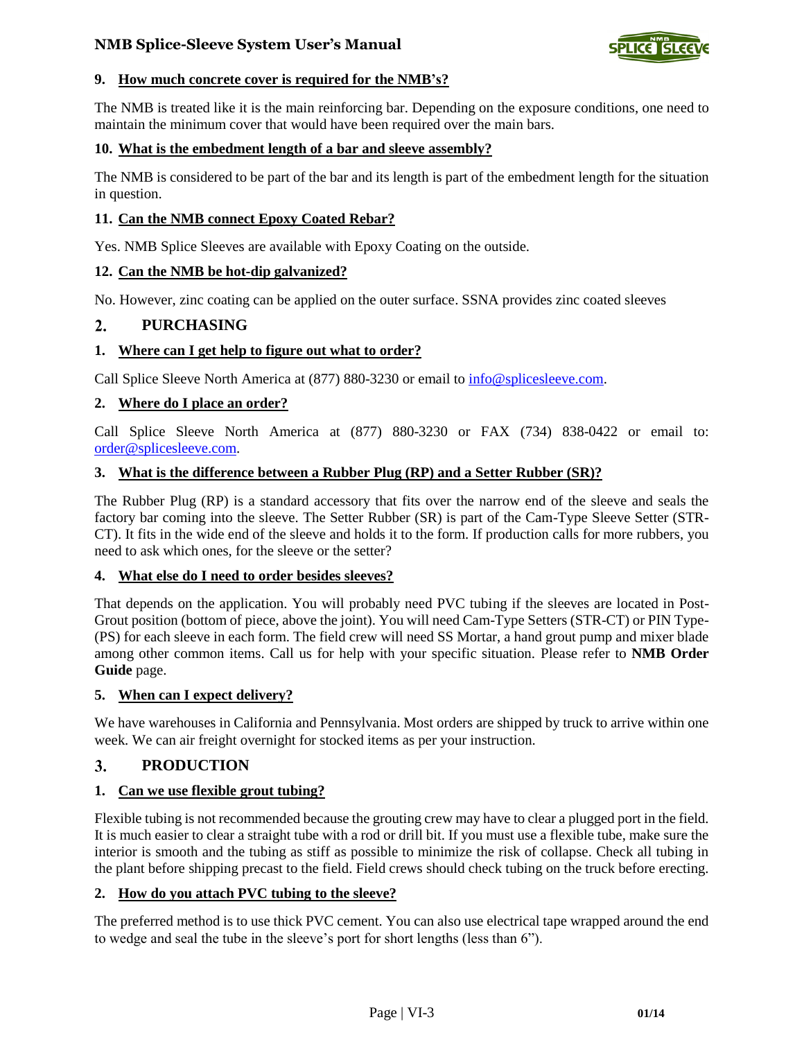

#### **9. How much [concrete cover is required for](http://splicesleeve.com/faq.html#9) the NMB's?**

The NMB is treated like it is the main reinforcing bar. Depending on the exposure conditions, one need to maintain the minimum cover that would have been required over the main bars.

#### **10. [What is the embedment length of a bar and sleeve assembly?](http://splicesleeve.com/faq.html#10)**

The NMB is considered to be part of the bar and its length is part of the embedment length for the situation in question.

#### **11. [Can the NMB connect Epoxy Coated Rebar?](http://splicesleeve.com/faq.html#11)**

Yes. NMB Splice Sleeves are available with Epoxy Coating on the outside.

#### **12. [Can the NMB be hot-dip galvanized?](http://splicesleeve.com/faq.html#12)**

No. However, zinc coating can be applied on the outer surface. SSNA provides zinc coated sleeves

#### <span id="page-2-0"></span>**PURCHASING**  $2.$

#### **1. [Where can I get help to figure out what to order?](http://splicesleeve.com/faq.html#21)**

Call Splice Sleeve North America at (877) 880-3230 or email to [info@splicesleeve.com.](mailto:info@splicesleeve.com)

#### **2. [Where do I place an order?](http://splicesleeve.com/faq.html#22)**

Call Splice Sleeve North America at (877) 880-3230 or FAX (734) 838-0422 or email to: [order@splicesleeve.com.](mailto:order@splicesleeve.com)

#### **3. [What is the difference between a Rubber Plug \(RP\) and a Setter Rubber \(SR\)?](http://splicesleeve.com/faq.html#23)**

The Rubber Plug (RP) is a standard accessory that fits over the narrow end of the sleeve and seals the factory bar coming into the sleeve. The Setter Rubber (SR) is part of the Cam-Type Sleeve Setter (STR-CT). It fits in the wide end of the sleeve and holds it to the form. If production calls for more rubbers, you need to ask which ones, for the sleeve or the setter?

#### **4. [What else do I need to order besides sleeves?](http://splicesleeve.com/faq.html#24)**

That depends on the application. You will probably need PVC tubing if the sleeves are located in Post-Grout position (bottom of piece, above the joint). You will need Cam-Type Setters (STR-CT) or PIN Type- (PS) for each sleeve in each form. The field crew will need SS Mortar, a hand grout pump and mixer blade among other common items. Call us for help with your specific situation. Please refer to **NMB Order Guide** page.

#### **5. [When can I expect delivery?](http://splicesleeve.com/faq.html#25)**

We have warehouses in California and Pennsylvania. Most orders are shipped by truck to arrive within one week. We can air freight overnight for stocked items as per your instruction.

#### <span id="page-2-1"></span>**PRODUCTION** 3.

#### **1. [Can we use flexible grout tubing?](http://splicesleeve.com/faq.html#31)**

Flexible tubing is not recommended because the grouting crew may have to clear a plugged port in the field. It is much easier to clear a straight tube with a rod or drill bit. If you must use a flexible tube, make sure the interior is smooth and the tubing as stiff as possible to minimize the risk of collapse. Check all tubing in the plant before shipping precast to the field. Field crews should check tubing on the truck before erecting.

#### **2. [How do you attach PVC tubing to the sleeve?](http://splicesleeve.com/faq.html#32)**

The preferred method is to use thick PVC cement. You can also use electrical tape wrapped around the end to wedge and seal the tube in the sleeve's port for short lengths (less than 6").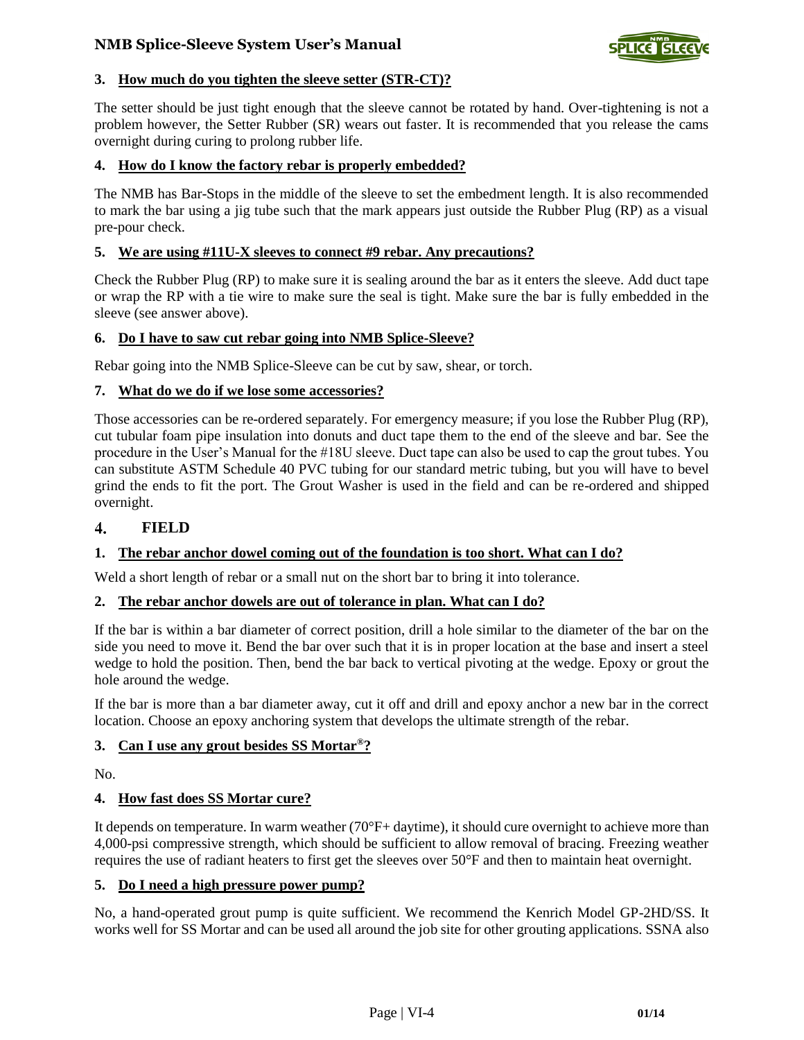

### **3. [How much do you tighten the sleeve setter \(STR-CT\)?](http://splicesleeve.com/faq.html#33)**

The setter should be just tight enough that the sleeve cannot be rotated by hand. Over-tightening is not a problem however, the Setter Rubber (SR) wears out faster. It is recommended that you release the cams overnight during curing to prolong rubber life.

#### **4. [How do I know the factory rebar is properly embedded?](http://splicesleeve.com/faq.html#34)**

The NMB has Bar-Stops in the middle of the sleeve to set the embedment length. It is also recommended to mark the bar using a jig tube such that the mark appears just outside the Rubber Plug (RP) as a visual pre-pour check.

#### **5. [We are using #11U-X sleeves to connect #9 rebar. Any precautions?](http://splicesleeve.com/faq.html#35)**

Check the Rubber Plug (RP) to make sure it is sealing around the bar as it enters the sleeve. Add duct tape or wrap the RP with a tie wire to make sure the seal is tight. Make sure the bar is fully embedded in the sleeve (see answer above).

#### **6. [Do I have to saw cut rebar going into NMB Splice-Sleeve?](http://splicesleeve.com/faq.html#36)**

Rebar going into the NMB Splice-Sleeve can be cut by saw, shear, or torch.

#### **7. [What do we do if we lose some accessories?](http://splicesleeve.com/faq.html#37)**

Those accessories can be re-ordered separately. For emergency measure; if you lose the Rubber Plug (RP), cut tubular foam pipe insulation into donuts and duct tape them to the end of the sleeve and bar. See the procedure in the User's Manual for the #18U sleeve. Duct tape can also be used to cap the grout tubes. You can substitute ASTM Schedule 40 PVC tubing for our standard metric tubing, but you will have to bevel grind the ends to fit the port. The Grout Washer is used in the field and can be re-ordered and shipped overnight.

#### <span id="page-3-0"></span> $\overline{4}$ . **FIELD**

#### **1. [The rebar anchor dowel coming out of the foundation is too short. What can I do?](http://splicesleeve.com/faq.html#41)**

Weld a short length of rebar or a small nut on the short bar to bring it into tolerance.

#### **2. [The rebar anchor dowels are out of tolerance in plan. What can I do?](http://splicesleeve.com/faq.html#42)**

If the bar is within a bar diameter of correct position, drill a hole similar to the diameter of the bar on the side you need to move it. Bend the bar over such that it is in proper location at the base and insert a steel wedge to hold the position. Then, bend the bar back to vertical pivoting at the wedge. Epoxy or grout the hole around the wedge.

If the bar is more than a bar diameter away, cut it off and drill and epoxy anchor a new bar in the correct location. Choose an epoxy anchoring system that develops the ultimate strength of the rebar.

#### **3. [Can I use any grout besides SS Mortar](http://splicesleeve.com/faq.html#43)®?**

No.

#### **4. [How fast does SS Mortar cure?](http://splicesleeve.com/faq.html#44)**

It depends on temperature. In warm weather (70°F+ daytime), it should cure overnight to achieve more than 4,000-psi compressive strength, which should be sufficient to allow removal of bracing. Freezing weather requires the use of radiant heaters to first get the sleeves over 50°F and then to maintain heat overnight.

#### **5. [Do I need a high pressure power pump?](http://splicesleeve.com/faq.html#45)**

No, a hand-operated grout pump is quite sufficient. We recommend the Kenrich Model GP-2HD/SS. It works well for SS Mortar and can be used all around the job site for other grouting applications. SSNA also